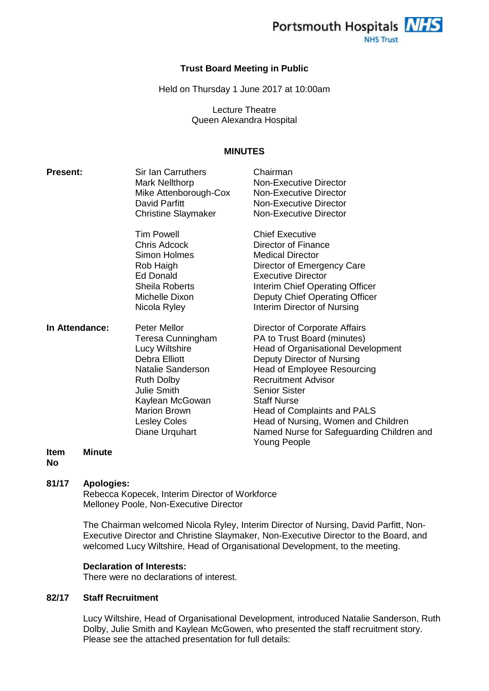

### **Trust Board Meeting in Public**

Held on Thursday 1 June 2017 at 10:00am

Lecture Theatre Queen Alexandra Hospital

## **MINUTES**

| <b>Present:</b> | Sir Ian Carruthers<br><b>Mark Nellthorp</b><br>Mike Attenborough-Cox<br>David Parfitt<br><b>Christine Slaymaker</b>                                                                                                            | Chairman<br>Non-Executive Director<br>Non-Executive Director<br>Non-Executive Director<br><b>Non-Executive Director</b>                                                                                                                                                                                                                                                                      |
|-----------------|--------------------------------------------------------------------------------------------------------------------------------------------------------------------------------------------------------------------------------|----------------------------------------------------------------------------------------------------------------------------------------------------------------------------------------------------------------------------------------------------------------------------------------------------------------------------------------------------------------------------------------------|
|                 | <b>Tim Powell</b><br>Chris Adcock<br><b>Simon Holmes</b><br>Rob Haigh<br>Ed Donald<br>Sheila Roberts<br>Michelle Dixon<br>Nicola Ryley                                                                                         | <b>Chief Executive</b><br>Director of Finance<br><b>Medical Director</b><br>Director of Emergency Care<br><b>Executive Director</b><br>Interim Chief Operating Officer<br>Deputy Chief Operating Officer<br>Interim Director of Nursing                                                                                                                                                      |
| In Attendance:  | <b>Peter Mellor</b><br>Teresa Cunningham<br>Lucy Wiltshire<br>Debra Elliott<br>Natalie Sanderson<br><b>Ruth Dolby</b><br><b>Julie Smith</b><br>Kaylean McGowan<br><b>Marion Brown</b><br><b>Lesley Coles</b><br>Diane Urquhart | Director of Corporate Affairs<br>PA to Trust Board (minutes)<br><b>Head of Organisational Development</b><br>Deputy Director of Nursing<br><b>Head of Employee Resourcing</b><br><b>Recruitment Advisor</b><br><b>Senior Sister</b><br><b>Staff Nurse</b><br>Head of Complaints and PALS<br>Head of Nursing, Women and Children<br>Named Nurse for Safeguarding Children and<br>Young People |

#### **Item Minute**

**No**

### **81/17 Apologies:**

Rebecca Kopecek, Interim Director of Workforce Melloney Poole, Non-Executive Director

The Chairman welcomed Nicola Ryley, Interim Director of Nursing, David Parfitt, Non-Executive Director and Christine Slaymaker, Non-Executive Director to the Board, and welcomed Lucy Wiltshire, Head of Organisational Development, to the meeting.

### **Declaration of Interests:**

There were no declarations of interest.

### **82/17 Staff Recruitment**

Lucy Wiltshire, Head of Organisational Development, introduced Natalie Sanderson, Ruth Dolby, Julie Smith and Kaylean McGowen, who presented the staff recruitment story. Please see the attached presentation for full details: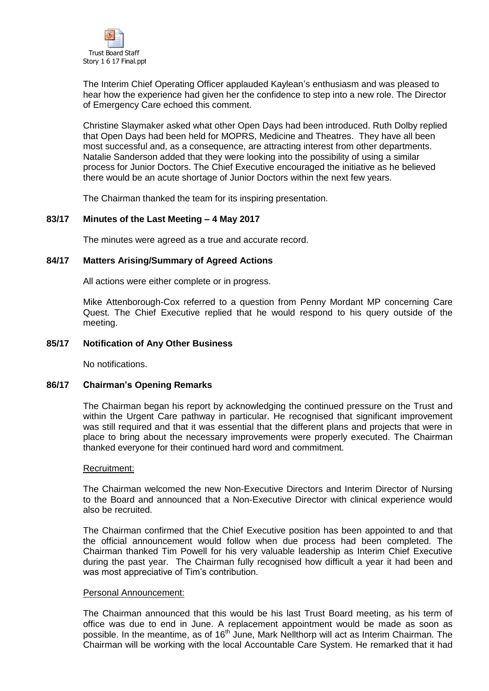

The Interim Chief Operating Officer applauded Kaylean's enthusiasm and was pleased to hear how the experience had given her the confidence to step into a new role. The Director of Emergency Care echoed this comment.

Christine Slaymaker asked what other Open Days had been introduced. Ruth Dolby replied that Open Days had been held for MOPRS, Medicine and Theatres. They have all been most successful and, as a consequence, are attracting interest from other departments. Natalie Sanderson added that they were looking into the possibility of using a similar process for Junior Doctors. The Chief Executive encouraged the initiative as he believed there would be an acute shortage of Junior Doctors within the next few years.

The Chairman thanked the team for its inspiring presentation.

# **83/17 Minutes of the Last Meeting – 4 May 2017**

The minutes were agreed as a true and accurate record.

### **84/17 Matters Arising/Summary of Agreed Actions**

All actions were either complete or in progress.

Mike Attenborough-Cox referred to a question from Penny Mordant MP concerning Care Quest. The Chief Executive replied that he would respond to his query outside of the meeting.

### **85/17 Notification of Any Other Business**

No notifications.

### **86/17 Chairman's Opening Remarks**

The Chairman began his report by acknowledging the continued pressure on the Trust and within the Urgent Care pathway in particular. He recognised that significant improvement was still required and that it was essential that the different plans and projects that were in place to bring about the necessary improvements were properly executed. The Chairman thanked everyone for their continued hard word and commitment.

### Recruitment:

The Chairman welcomed the new Non-Executive Directors and Interim Director of Nursing to the Board and announced that a Non-Executive Director with clinical experience would also be recruited.

The Chairman confirmed that the Chief Executive position has been appointed to and that the official announcement would follow when due process had been completed. The Chairman thanked Tim Powell for his very valuable leadership as Interim Chief Executive during the past year. The Chairman fully recognised how difficult a year it had been and was most appreciative of Tim's contribution.

### Personal Announcement:

The Chairman announced that this would be his last Trust Board meeting, as his term of office was due to end in June. A replacement appointment would be made as soon as possible. In the meantime, as of 16<sup>th</sup> June, Mark Nellthorp will act as Interim Chairman. The Chairman will be working with the local Accountable Care System. He remarked that it had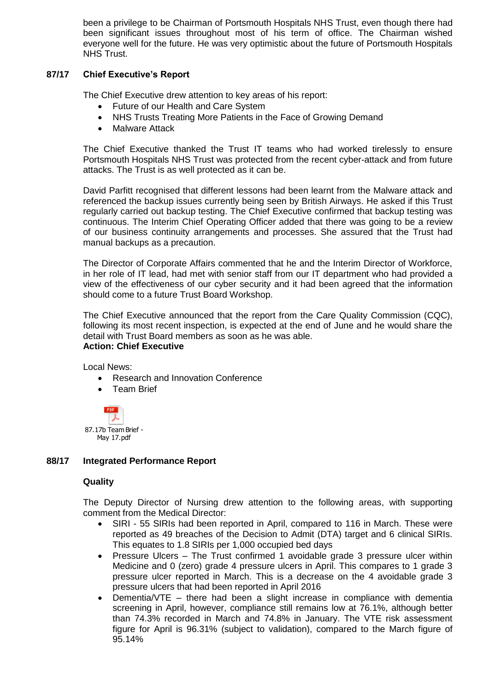been a privilege to be Chairman of Portsmouth Hospitals NHS Trust, even though there had been significant issues throughout most of his term of office. The Chairman wished everyone well for the future. He was very optimistic about the future of Portsmouth Hospitals NHS Trust.

# **87/17 Chief Executive's Report**

The Chief Executive drew attention to key areas of his report:

- Future of our Health and Care System
- NHS Trusts Treating More Patients in the Face of Growing Demand
- Malware Attack

The Chief Executive thanked the Trust IT teams who had worked tirelessly to ensure Portsmouth Hospitals NHS Trust was protected from the recent cyber-attack and from future attacks. The Trust is as well protected as it can be.

David Parfitt recognised that different lessons had been learnt from the Malware attack and referenced the backup issues currently being seen by British Airways. He asked if this Trust regularly carried out backup testing. The Chief Executive confirmed that backup testing was continuous. The Interim Chief Operating Officer added that there was going to be a review of our business continuity arrangements and processes. She assured that the Trust had manual backups as a precaution.

The Director of Corporate Affairs commented that he and the Interim Director of Workforce, in her role of IT lead, had met with senior staff from our IT department who had provided a view of the effectiveness of our cyber security and it had been agreed that the information should come to a future Trust Board Workshop.

The Chief Executive announced that the report from the Care Quality Commission (CQC), following its most recent inspection, is expected at the end of June and he would share the detail with Trust Board members as soon as he was able. **Action: Chief Executive**

Local News:

- Research and Innovation Conference
- Team Brief



# **88/17 Integrated Performance Report**

# **Quality**

The Deputy Director of Nursing drew attention to the following areas, with supporting comment from the Medical Director:

- SIRI 55 SIRIs had been reported in April, compared to 116 in March. These were reported as 49 breaches of the Decision to Admit (DTA) target and 6 clinical SIRIs. This equates to 1.8 SIRIs per 1,000 occupied bed days
- Pressure Ulcers The Trust confirmed 1 avoidable grade 3 pressure ulcer within Medicine and 0 (zero) grade 4 pressure ulcers in April. This compares to 1 grade 3 pressure ulcer reported in March. This is a decrease on the 4 avoidable grade 3 pressure ulcers that had been reported in April 2016
- Dementia/VTE there had been a slight increase in compliance with dementia screening in April, however, compliance still remains low at 76.1%, although better than 74.3% recorded in March and 74.8% in January. The VTE risk assessment figure for April is 96.31% (subject to validation), compared to the March figure of 95.14%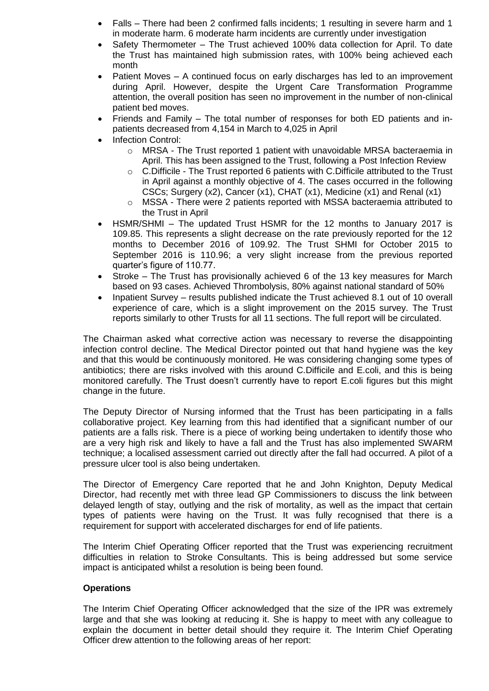- Falls There had been 2 confirmed falls incidents; 1 resulting in severe harm and 1 in moderate harm. 6 moderate harm incidents are currently under investigation
- Safety Thermometer The Trust achieved 100% data collection for April. To date the Trust has maintained high submission rates, with 100% being achieved each month
- Patient Moves A continued focus on early discharges has led to an improvement during April. However, despite the Urgent Care Transformation Programme attention, the overall position has seen no improvement in the number of non-clinical patient bed moves.
- Friends and Family The total number of responses for both ED patients and inpatients decreased from 4,154 in March to 4,025 in April
- Infection Control:
	- o MRSA The Trust reported 1 patient with unavoidable MRSA bacteraemia in April. This has been assigned to the Trust, following a Post Infection Review
	- o C.Difficile The Trust reported 6 patients with C.Difficile attributed to the Trust in April against a monthly objective of 4. The cases occurred in the following CSCs; Surgery (x2), Cancer (x1), CHAT (x1), Medicine (x1) and Renal (x1)
	- o MSSA There were 2 patients reported with MSSA bacteraemia attributed to the Trust in April
- HSMR/SHMI The updated Trust HSMR for the 12 months to January 2017 is 109.85. This represents a slight decrease on the rate previously reported for the 12 months to December 2016 of 109.92. The Trust SHMI for October 2015 to September 2016 is 110.96; a very slight increase from the previous reported quarter's figure of 110.77.
- Stroke The Trust has provisionally achieved 6 of the 13 key measures for March based on 93 cases. Achieved Thrombolysis, 80% against national standard of 50%
- Inpatient Survey results published indicate the Trust achieved 8.1 out of 10 overall experience of care, which is a slight improvement on the 2015 survey. The Trust reports similarly to other Trusts for all 11 sections. The full report will be circulated.

The Chairman asked what corrective action was necessary to reverse the disappointing infection control decline. The Medical Director pointed out that hand hygiene was the key and that this would be continuously monitored. He was considering changing some types of antibiotics; there are risks involved with this around C.Difficile and E.coli, and this is being monitored carefully. The Trust doesn't currently have to report E.coli figures but this might change in the future.

The Deputy Director of Nursing informed that the Trust has been participating in a falls collaborative project. Key learning from this had identified that a significant number of our patients are a falls risk. There is a piece of working being undertaken to identify those who are a very high risk and likely to have a fall and the Trust has also implemented SWARM technique; a localised assessment carried out directly after the fall had occurred. A pilot of a pressure ulcer tool is also being undertaken.

The Director of Emergency Care reported that he and John Knighton, Deputy Medical Director, had recently met with three lead GP Commissioners to discuss the link between delayed length of stay, outlying and the risk of mortality, as well as the impact that certain types of patients were having on the Trust. It was fully recognised that there is a requirement for support with accelerated discharges for end of life patients.

The Interim Chief Operating Officer reported that the Trust was experiencing recruitment difficulties in relation to Stroke Consultants. This is being addressed but some service impact is anticipated whilst a resolution is being been found.

# **Operations**

The Interim Chief Operating Officer acknowledged that the size of the IPR was extremely large and that she was looking at reducing it. She is happy to meet with any colleague to explain the document in better detail should they require it. The Interim Chief Operating Officer drew attention to the following areas of her report: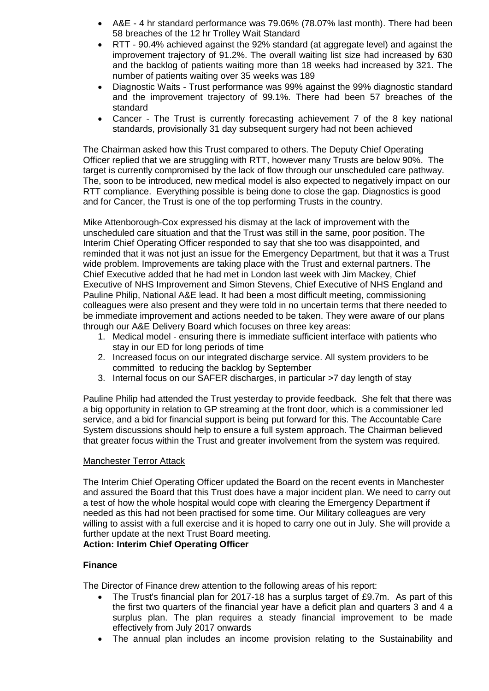- A&E 4 hr standard performance was 79.06% (78.07% last month). There had been 58 breaches of the 12 hr Trolley Wait Standard
- RTT 90.4% achieved against the 92% standard (at aggregate level) and against the improvement trajectory of 91.2%. The overall waiting list size had increased by 630 and the backlog of patients waiting more than 18 weeks had increased by 321. The number of patients waiting over 35 weeks was 189
- Diagnostic Waits Trust performance was 99% against the 99% diagnostic standard and the improvement trajectory of 99.1%. There had been 57 breaches of the standard
- Cancer The Trust is currently forecasting achievement 7 of the 8 key national standards, provisionally 31 day subsequent surgery had not been achieved

The Chairman asked how this Trust compared to others. The Deputy Chief Operating Officer replied that we are struggling with RTT, however many Trusts are below 90%. The target is currently compromised by the lack of flow through our unscheduled care pathway. The, soon to be introduced, new medical model is also expected to negatively impact on our RTT compliance. Everything possible is being done to close the gap. Diagnostics is good and for Cancer, the Trust is one of the top performing Trusts in the country.

Mike Attenborough-Cox expressed his dismay at the lack of improvement with the unscheduled care situation and that the Trust was still in the same, poor position. The Interim Chief Operating Officer responded to say that she too was disappointed, and reminded that it was not just an issue for the Emergency Department, but that it was a Trust wide problem. Improvements are taking place with the Trust and external partners. The Chief Executive added that he had met in London last week with Jim Mackey, Chief Executive of NHS Improvement and Simon Stevens, Chief Executive of NHS England and Pauline Philip, National A&E lead. It had been a most difficult meeting, commissioning colleagues were also present and they were told in no uncertain terms that there needed to be immediate improvement and actions needed to be taken. They were aware of our plans through our A&E Delivery Board which focuses on three key areas:

- 1. Medical model ensuring there is immediate sufficient interface with patients who stay in our ED for long periods of time
- 2. Increased focus on our integrated discharge service. All system providers to be committed to reducing the backlog by September
- 3. Internal focus on our SAFER discharges, in particular >7 day length of stay

Pauline Philip had attended the Trust yesterday to provide feedback. She felt that there was a big opportunity in relation to GP streaming at the front door, which is a commissioner led service, and a bid for financial support is being put forward for this. The Accountable Care System discussions should help to ensure a full system approach. The Chairman believed that greater focus within the Trust and greater involvement from the system was required.

### Manchester Terror Attack

The Interim Chief Operating Officer updated the Board on the recent events in Manchester and assured the Board that this Trust does have a major incident plan. We need to carry out a test of how the whole hospital would cope with clearing the Emergency Department if needed as this had not been practised for some time. Our Military colleagues are very willing to assist with a full exercise and it is hoped to carry one out in July. She will provide a further update at the next Trust Board meeting.

# **Action: Interim Chief Operating Officer**

# **Finance**

The Director of Finance drew attention to the following areas of his report:

- The Trust's financial plan for 2017-18 has a surplus target of £9.7m. As part of this the first two quarters of the financial year have a deficit plan and quarters 3 and 4 a surplus plan. The plan requires a steady financial improvement to be made effectively from July 2017 onwards
- The annual plan includes an income provision relating to the Sustainability and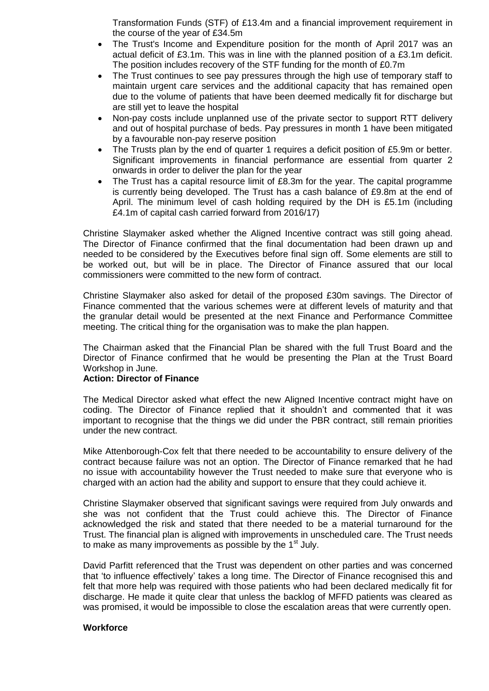Transformation Funds (STF) of £13.4m and a financial improvement requirement in the course of the year of £34.5m

- The Trust's Income and Expenditure position for the month of April 2017 was an actual deficit of £3.1m. This was in line with the planned position of a £3.1m deficit. The position includes recovery of the STF funding for the month of £0.7m
- The Trust continues to see pay pressures through the high use of temporary staff to maintain urgent care services and the additional capacity that has remained open due to the volume of patients that have been deemed medically fit for discharge but are still yet to leave the hospital
- Non-pay costs include unplanned use of the private sector to support RTT delivery and out of hospital purchase of beds. Pay pressures in month 1 have been mitigated by a favourable non-pay reserve position
- The Trusts plan by the end of quarter 1 requires a deficit position of £5.9m or better. Significant improvements in financial performance are essential from quarter 2 onwards in order to deliver the plan for the year
- The Trust has a capital resource limit of £8.3m for the year. The capital programme is currently being developed. The Trust has a cash balance of £9.8m at the end of April. The minimum level of cash holding required by the DH is £5.1m (including £4.1m of capital cash carried forward from 2016/17)

Christine Slaymaker asked whether the Aligned Incentive contract was still going ahead. The Director of Finance confirmed that the final documentation had been drawn up and needed to be considered by the Executives before final sign off. Some elements are still to be worked out, but will be in place. The Director of Finance assured that our local commissioners were committed to the new form of contract.

Christine Slaymaker also asked for detail of the proposed £30m savings. The Director of Finance commented that the various schemes were at different levels of maturity and that the granular detail would be presented at the next Finance and Performance Committee meeting. The critical thing for the organisation was to make the plan happen.

The Chairman asked that the Financial Plan be shared with the full Trust Board and the Director of Finance confirmed that he would be presenting the Plan at the Trust Board Workshop in June.

### **Action: Director of Finance**

The Medical Director asked what effect the new Aligned Incentive contract might have on coding. The Director of Finance replied that it shouldn't and commented that it was important to recognise that the things we did under the PBR contract, still remain priorities under the new contract.

Mike Attenborough-Cox felt that there needed to be accountability to ensure delivery of the contract because failure was not an option. The Director of Finance remarked that he had no issue with accountability however the Trust needed to make sure that everyone who is charged with an action had the ability and support to ensure that they could achieve it.

Christine Slaymaker observed that significant savings were required from July onwards and she was not confident that the Trust could achieve this. The Director of Finance acknowledged the risk and stated that there needed to be a material turnaround for the Trust. The financial plan is aligned with improvements in unscheduled care. The Trust needs to make as many improvements as possible by the  $1<sup>st</sup>$  July.

David Parfitt referenced that the Trust was dependent on other parties and was concerned that 'to influence effectively' takes a long time. The Director of Finance recognised this and felt that more help was required with those patients who had been declared medically fit for discharge. He made it quite clear that unless the backlog of MFFD patients was cleared as was promised, it would be impossible to close the escalation areas that were currently open.

### **Workforce**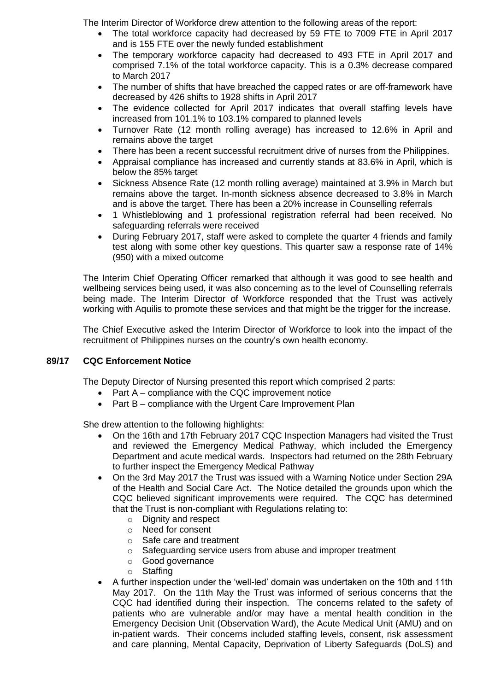The Interim Director of Workforce drew attention to the following areas of the report:

- The total workforce capacity had decreased by 59 FTE to 7009 FTE in April 2017 and is 155 FTE over the newly funded establishment
- The temporary workforce capacity had decreased to 493 FTE in April 2017 and comprised 7.1% of the total workforce capacity. This is a 0.3% decrease compared to March 2017
- The number of shifts that have breached the capped rates or are off-framework have decreased by 426 shifts to 1928 shifts in April 2017
- The evidence collected for April 2017 indicates that overall staffing levels have increased from 101.1% to 103.1% compared to planned levels
- Turnover Rate (12 month rolling average) has increased to 12.6% in April and remains above the target
- There has been a recent successful recruitment drive of nurses from the Philippines.
- Appraisal compliance has increased and currently stands at 83.6% in April, which is below the 85% target
- Sickness Absence Rate (12 month rolling average) maintained at 3.9% in March but remains above the target. In-month sickness absence decreased to 3.8% in March and is above the target. There has been a 20% increase in Counselling referrals
- 1 Whistleblowing and 1 professional registration referral had been received. No safeguarding referrals were received
- During February 2017, staff were asked to complete the quarter 4 friends and family test along with some other key questions. This quarter saw a response rate of 14% (950) with a mixed outcome

The Interim Chief Operating Officer remarked that although it was good to see health and wellbeing services being used, it was also concerning as to the level of Counselling referrals being made. The Interim Director of Workforce responded that the Trust was actively working with Aquilis to promote these services and that might be the trigger for the increase.

The Chief Executive asked the Interim Director of Workforce to look into the impact of the recruitment of Philippines nurses on the country's own health economy.

# **89/17 CQC Enforcement Notice**

The Deputy Director of Nursing presented this report which comprised 2 parts:

- Part A compliance with the CQC improvement notice
- Part B compliance with the Urgent Care Improvement Plan

She drew attention to the following highlights:

- On the 16th and 17th February 2017 CQC Inspection Managers had visited the Trust and reviewed the Emergency Medical Pathway, which included the Emergency Department and acute medical wards. Inspectors had returned on the 28th February to further inspect the Emergency Medical Pathway
- On the 3rd May 2017 the Trust was issued with a Warning Notice under Section 29A of the Health and Social Care Act. The Notice detailed the grounds upon which the CQC believed significant improvements were required. The CQC has determined that the Trust is non-compliant with Regulations relating to:
	- o Dignity and respect
	- o Need for consent
	- o Safe care and treatment
	- o Safeguarding service users from abuse and improper treatment
	- o Good governance
	- o Staffing
- A further inspection under the 'well-led' domain was undertaken on the 10th and 11th May 2017. On the 11th May the Trust was informed of serious concerns that the CQC had identified during their inspection. The concerns related to the safety of patients who are vulnerable and/or may have a mental health condition in the Emergency Decision Unit (Observation Ward), the Acute Medical Unit (AMU) and on in-patient wards. Their concerns included staffing levels, consent, risk assessment and care planning, Mental Capacity, Deprivation of Liberty Safeguards (DoLS) and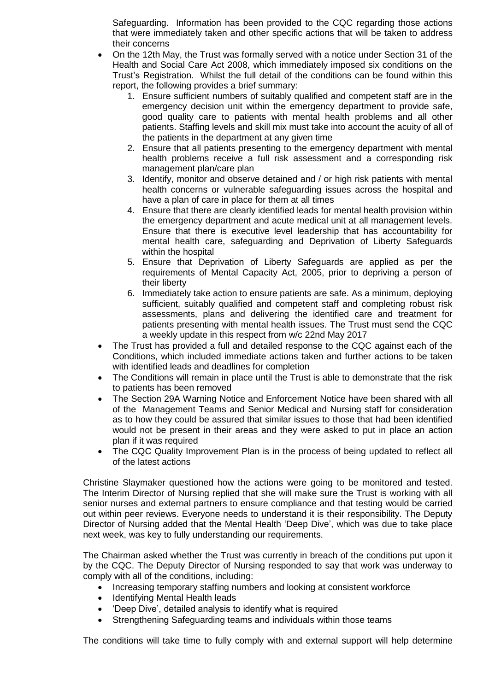Safeguarding. Information has been provided to the CQC regarding those actions that were immediately taken and other specific actions that will be taken to address their concerns

- On the 12th May, the Trust was formally served with a notice under Section 31 of the Health and Social Care Act 2008, which immediately imposed six conditions on the Trust's Registration. Whilst the full detail of the conditions can be found within this report, the following provides a brief summary:
	- 1. Ensure sufficient numbers of suitably qualified and competent staff are in the emergency decision unit within the emergency department to provide safe, good quality care to patients with mental health problems and all other patients. Staffing levels and skill mix must take into account the acuity of all of the patients in the department at any given time
	- 2. Ensure that all patients presenting to the emergency department with mental health problems receive a full risk assessment and a corresponding risk management plan/care plan
	- 3. Identify, monitor and observe detained and / or high risk patients with mental health concerns or vulnerable safeguarding issues across the hospital and have a plan of care in place for them at all times
	- 4. Ensure that there are clearly identified leads for mental health provision within the emergency department and acute medical unit at all management levels. Ensure that there is executive level leadership that has accountability for mental health care, safeguarding and Deprivation of Liberty Safeguards within the hospital
	- 5. Ensure that Deprivation of Liberty Safeguards are applied as per the requirements of Mental Capacity Act, 2005, prior to depriving a person of their liberty
	- 6. Immediately take action to ensure patients are safe. As a minimum, deploying sufficient, suitably qualified and competent staff and completing robust risk assessments, plans and delivering the identified care and treatment for patients presenting with mental health issues. The Trust must send the CQC a weekly update in this respect from w/c 22nd May 2017
- The Trust has provided a full and detailed response to the CQC against each of the Conditions, which included immediate actions taken and further actions to be taken with identified leads and deadlines for completion
- The Conditions will remain in place until the Trust is able to demonstrate that the risk to patients has been removed
- The Section 29A Warning Notice and Enforcement Notice have been shared with all of the Management Teams and Senior Medical and Nursing staff for consideration as to how they could be assured that similar issues to those that had been identified would not be present in their areas and they were asked to put in place an action plan if it was required
- The CQC Quality Improvement Plan is in the process of being updated to reflect all of the latest actions

Christine Slaymaker questioned how the actions were going to be monitored and tested. The Interim Director of Nursing replied that she will make sure the Trust is working with all senior nurses and external partners to ensure compliance and that testing would be carried out within peer reviews. Everyone needs to understand it is their responsibility. The Deputy Director of Nursing added that the Mental Health 'Deep Dive', which was due to take place next week, was key to fully understanding our requirements.

The Chairman asked whether the Trust was currently in breach of the conditions put upon it by the CQC. The Deputy Director of Nursing responded to say that work was underway to comply with all of the conditions, including:

- Increasing temporary staffing numbers and looking at consistent workforce
- Identifying Mental Health leads
- 'Deep Dive', detailed analysis to identify what is required
- Strengthening Safeguarding teams and individuals within those teams

The conditions will take time to fully comply with and external support will help determine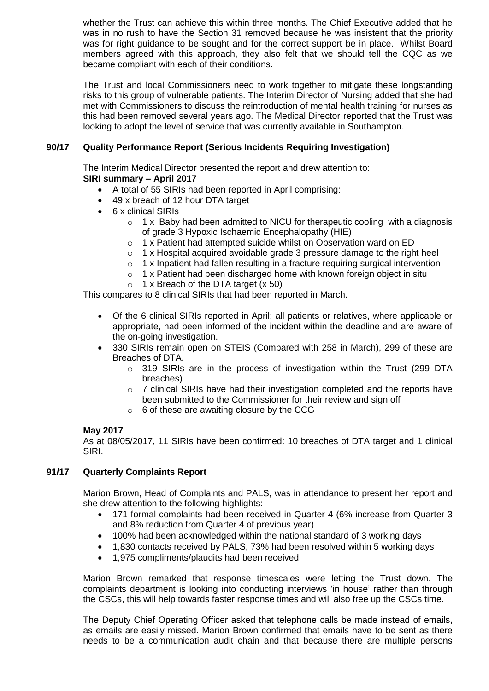whether the Trust can achieve this within three months. The Chief Executive added that he was in no rush to have the Section 31 removed because he was insistent that the priority was for right guidance to be sought and for the correct support be in place. Whilst Board members agreed with this approach, they also felt that we should tell the CQC as we became compliant with each of their conditions.

The Trust and local Commissioners need to work together to mitigate these longstanding risks to this group of vulnerable patients. The Interim Director of Nursing added that she had met with Commissioners to discuss the reintroduction of mental health training for nurses as this had been removed several years ago. The Medical Director reported that the Trust was looking to adopt the level of service that was currently available in Southampton.

# **90/17 Quality Performance Report (Serious Incidents Requiring Investigation)**

The Interim Medical Director presented the report and drew attention to: **SIRI summary – April 2017**

- A total of 55 SIRIs had been reported in April comprising:
- 49 x breach of 12 hour DTA target
- 6 x clinical SIRIs
	- o 1 x Baby had been admitted to NICU for therapeutic cooling with a diagnosis of grade 3 Hypoxic Ischaemic Encephalopathy (HIE)
	- o 1 x Patient had attempted suicide whilst on Observation ward on ED
	- $\circ$  1 x Hospital acquired avoidable grade 3 pressure damage to the right heel
	- o 1 x Inpatient had fallen resulting in a fracture requiring surgical intervention
	- o 1 x Patient had been discharged home with known foreign object in situ
	- $\circ$  1 x Breach of the DTA target (x 50)

This compares to 8 clinical SIRIs that had been reported in March.

- Of the 6 clinical SIRIs reported in April; all patients or relatives, where applicable or appropriate, had been informed of the incident within the deadline and are aware of the on-going investigation.
- 330 SIRIs remain open on STEIS (Compared with 258 in March), 299 of these are Breaches of DTA.
	- $\circ$  319 SIRIs are in the process of investigation within the Trust (299 DTA breaches)
	- $\circ$  7 clinical SIRIs have had their investigation completed and the reports have been submitted to the Commissioner for their review and sign off
	- $\circ$  6 of these are awaiting closure by the CCG

# **May 2017**

As at 08/05/2017, 11 SIRIs have been confirmed: 10 breaches of DTA target and 1 clinical SIRI.

# **91/17 Quarterly Complaints Report**

Marion Brown, Head of Complaints and PALS, was in attendance to present her report and she drew attention to the following highlights:

- 171 formal complaints had been received in Quarter 4 (6% increase from Quarter 3 and 8% reduction from Quarter 4 of previous year)
- 100% had been acknowledged within the national standard of 3 working days
- 1,830 contacts received by PALS, 73% had been resolved within 5 working days
- 1,975 compliments/plaudits had been received

Marion Brown remarked that response timescales were letting the Trust down. The complaints department is looking into conducting interviews 'in house' rather than through the CSCs, this will help towards faster response times and will also free up the CSCs time.

The Deputy Chief Operating Officer asked that telephone calls be made instead of emails, as emails are easily missed. Marion Brown confirmed that emails have to be sent as there needs to be a communication audit chain and that because there are multiple persons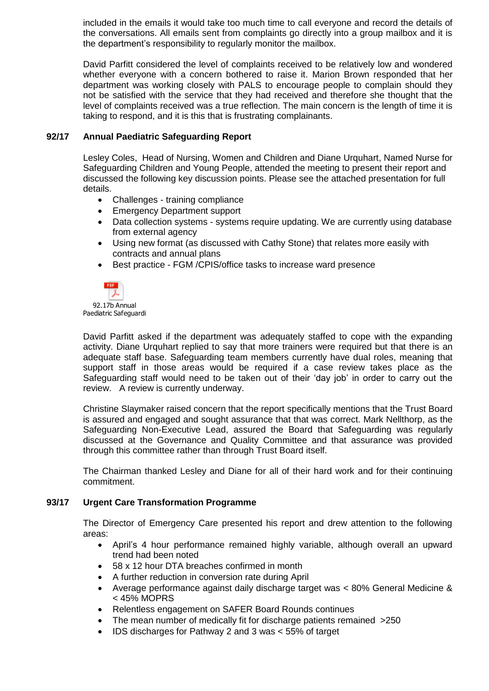included in the emails it would take too much time to call everyone and record the details of the conversations. All emails sent from complaints go directly into a group mailbox and it is the department's responsibility to regularly monitor the mailbox.

David Parfitt considered the level of complaints received to be relatively low and wondered whether everyone with a concern bothered to raise it. Marion Brown responded that her department was working closely with PALS to encourage people to complain should they not be satisfied with the service that they had received and therefore she thought that the level of complaints received was a true reflection. The main concern is the length of time it is taking to respond, and it is this that is frustrating complainants.

## **92/17 Annual Paediatric Safeguarding Report**

Lesley Coles, Head of Nursing, Women and Children and Diane Urquhart, Named Nurse for Safeguarding Children and Young People, attended the meeting to present their report and discussed the following key discussion points. Please see the attached presentation for full details.

- Challenges training compliance
- Emergency Department support
- Data collection systems systems require updating. We are currently using database from external agency
- Using new format (as discussed with Cathy Stone) that relates more easily with contracts and annual plans
- Best practice FGM /CPIS/office tasks to increase ward presence



David Parfitt asked if the department was adequately staffed to cope with the expanding activity. Diane Urquhart replied to say that more trainers were required but that there is an adequate staff base. Safeguarding team members currently have dual roles, meaning that support staff in those areas would be required if a case review takes place as the Safeguarding staff would need to be taken out of their 'day job' in order to carry out the review. A review is currently underway.

Christine Slaymaker raised concern that the report specifically mentions that the Trust Board is assured and engaged and sought assurance that that was correct. Mark Nellthorp, as the Safeguarding Non-Executive Lead, assured the Board that Safeguarding was regularly discussed at the Governance and Quality Committee and that assurance was provided through this committee rather than through Trust Board itself.

The Chairman thanked Lesley and Diane for all of their hard work and for their continuing commitment.

### **93/17 Urgent Care Transformation Programme**

The Director of Emergency Care presented his report and drew attention to the following areas:

- April's 4 hour performance remained highly variable, although overall an upward trend had been noted
- 58 x 12 hour DTA breaches confirmed in month
- A further reduction in conversion rate during April
- Average performance against daily discharge target was < 80% General Medicine & < 45% MOPRS
- Relentless engagement on SAFER Board Rounds continues
- The mean number of medically fit for discharge patients remained >250
- IDS discharges for Pathway 2 and 3 was < 55% of target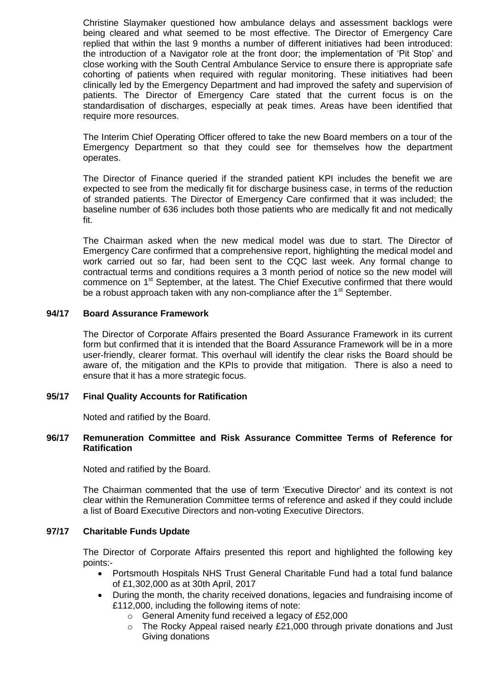Christine Slaymaker questioned how ambulance delays and assessment backlogs were being cleared and what seemed to be most effective. The Director of Emergency Care replied that within the last 9 months a number of different initiatives had been introduced: the introduction of a Navigator role at the front door; the implementation of 'Pit Stop' and close working with the South Central Ambulance Service to ensure there is appropriate safe cohorting of patients when required with regular monitoring. These initiatives had been clinically led by the Emergency Department and had improved the safety and supervision of patients. The Director of Emergency Care stated that the current focus is on the standardisation of discharges, especially at peak times. Areas have been identified that require more resources.

The Interim Chief Operating Officer offered to take the new Board members on a tour of the Emergency Department so that they could see for themselves how the department operates.

The Director of Finance queried if the stranded patient KPI includes the benefit we are expected to see from the medically fit for discharge business case, in terms of the reduction of stranded patients. The Director of Emergency Care confirmed that it was included; the baseline number of 636 includes both those patients who are medically fit and not medically fit.

The Chairman asked when the new medical model was due to start. The Director of Emergency Care confirmed that a comprehensive report, highlighting the medical model and work carried out so far, had been sent to the CQC last week. Any formal change to contractual terms and conditions requires a 3 month period of notice so the new model will commence on 1<sup>st</sup> September, at the latest. The Chief Executive confirmed that there would be a robust approach taken with any non-compliance after the  $1<sup>st</sup>$  September.

### **94/17 Board Assurance Framework**

The Director of Corporate Affairs presented the Board Assurance Framework in its current form but confirmed that it is intended that the Board Assurance Framework will be in a more user-friendly, clearer format. This overhaul will identify the clear risks the Board should be aware of, the mitigation and the KPIs to provide that mitigation. There is also a need to ensure that it has a more strategic focus.

### **95/17 Final Quality Accounts for Ratification**

Noted and ratified by the Board.

### **96/17 Remuneration Committee and Risk Assurance Committee Terms of Reference for Ratification**

Noted and ratified by the Board.

The Chairman commented that the use of term 'Executive Director' and its context is not clear within the Remuneration Committee terms of reference and asked if they could include a list of Board Executive Directors and non-voting Executive Directors.

### **97/17 Charitable Funds Update**

The Director of Corporate Affairs presented this report and highlighted the following key points:-

- Portsmouth Hospitals NHS Trust General Charitable Fund had a total fund balance of £1,302,000 as at 30th April, 2017
- During the month, the charity received donations, legacies and fundraising income of £112,000, including the following items of note:
	- o General Amenity fund received a legacy of £52,000
	- $\circ$  The Rocky Appeal raised nearly £21,000 through private donations and Just Giving donations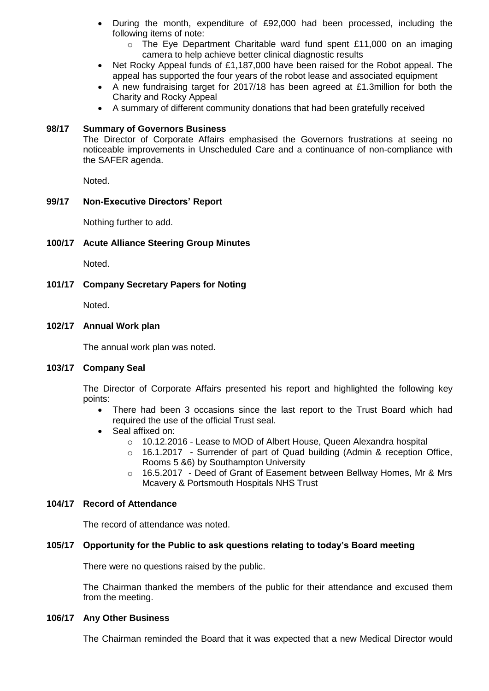- During the month, expenditure of £92,000 had been processed, including the following items of note:
	- o The Eye Department Charitable ward fund spent £11,000 on an imaging camera to help achieve better clinical diagnostic results
- Net Rocky Appeal funds of £1,187,000 have been raised for the Robot appeal. The appeal has supported the four years of the robot lease and associated equipment
- A new fundraising target for 2017/18 has been agreed at £1.3million for both the Charity and Rocky Appeal
- A summary of different community donations that had been gratefully received

# **98/17 Summary of Governors Business**

The Director of Corporate Affairs emphasised the Governors frustrations at seeing no noticeable improvements in Unscheduled Care and a continuance of non-compliance with the SAFER agenda.

Noted.

# **99/17 Non-Executive Directors' Report**

Nothing further to add.

# **100/17 Acute Alliance Steering Group Minutes**

Noted.

# **101/17 Company Secretary Papers for Noting**

Noted.

### **102/17 Annual Work plan**

The annual work plan was noted.

# **103/17 Company Seal**

The Director of Corporate Affairs presented his report and highlighted the following key points:

- There had been 3 occasions since the last report to the Trust Board which had required the use of the official Trust seal.
- Seal affixed on:
	- $\circ$  10.12.2016 Lease to MOD of Albert House, Queen Alexandra hospital
	- o 16.1.2017 Surrender of part of Quad building (Admin & reception Office, Rooms 5 &6) by Southampton University
	- o 16.5.2017 Deed of Grant of Easement between Bellway Homes, Mr & Mrs Mcavery & Portsmouth Hospitals NHS Trust

# **104/17 Record of Attendance**

The record of attendance was noted.

# **105/17 Opportunity for the Public to ask questions relating to today's Board meeting**

There were no questions raised by the public.

The Chairman thanked the members of the public for their attendance and excused them from the meeting.

### **106/17 Any Other Business**

The Chairman reminded the Board that it was expected that a new Medical Director would